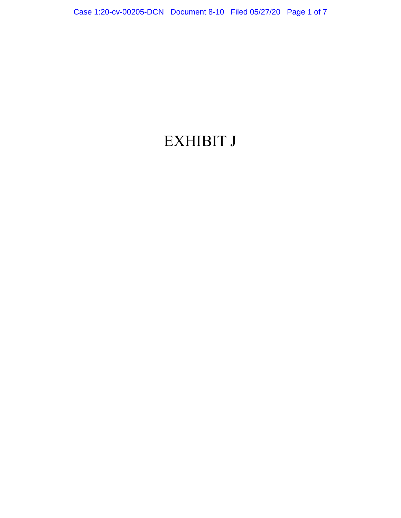## EXHIBIT J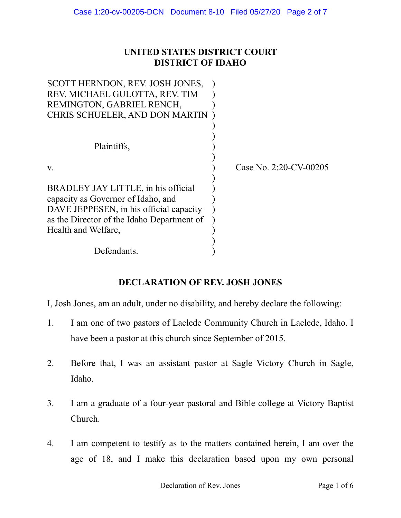## **UNITED STATES DISTRICT COURT DISTRICT OF IDAHO**

| SCOTT HERNDON, REV. JOSH JONES,            |                        |
|--------------------------------------------|------------------------|
| REV. MICHAEL GULOTTA, REV. TIM             |                        |
| REMINGTON, GABRIEL RENCH,                  |                        |
| CHRIS SCHUELER, AND DON MARTIN             |                        |
|                                            |                        |
|                                            |                        |
| Plaintiffs,                                |                        |
|                                            |                        |
| V.                                         | Case No. 2:20-CV-00205 |
|                                            |                        |
| BRADLEY JAY LITTLE, in his official        |                        |
| capacity as Governor of Idaho, and         |                        |
| DAVE JEPPESEN, in his official capacity    |                        |
| as the Director of the Idaho Department of |                        |
| Health and Welfare,                        |                        |
|                                            |                        |
| Defendants.                                |                        |

## **DECLARATION OF REV. JOSH JONES**

I, Josh Jones, am an adult, under no disability, and hereby declare the following:

- 1. I am one of two pastors of Laclede Community Church in Laclede, Idaho. I have been a pastor at this church since September of 2015.
- 2. Before that, I was an assistant pastor at Sagle Victory Church in Sagle, Idaho.
- 3. I am a graduate of a four-year pastoral and Bible college at Victory Baptist Church.
- 4. I am competent to testify as to the matters contained herein, I am over the age of 18, and I make this declaration based upon my own personal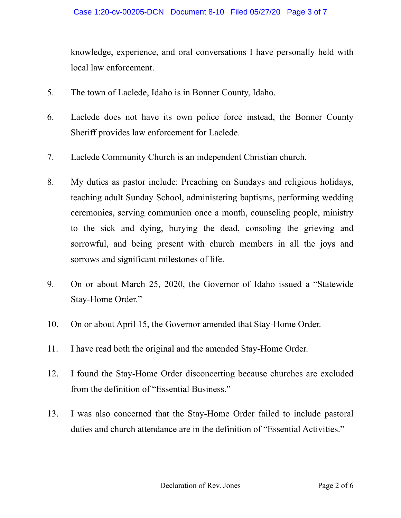knowledge, experience, and oral conversations I have personally held with local law enforcement.

- 5. The town of Laclede, Idaho is in Bonner County, Idaho.
- 6. Laclede does not have its own police force instead, the Bonner County Sheriff provides law enforcement for Laclede.
- 7. Laclede Community Church is an independent Christian church.
- 8. My duties as pastor include: Preaching on Sundays and religious holidays, teaching adult Sunday School, administering baptisms, performing wedding ceremonies, serving communion once a month, counseling people, ministry to the sick and dying, burying the dead, consoling the grieving and sorrowful, and being present with church members in all the joys and sorrows and significant milestones of life.
- 9. On or about March 25, 2020, the Governor of Idaho issued a "Statewide Stay-Home Order."
- 10. On or about April 15, the Governor amended that Stay-Home Order.
- 11. I have read both the original and the amended Stay-Home Order.
- 12. I found the Stay-Home Order disconcerting because churches are excluded from the definition of "Essential Business."
- 13. I was also concerned that the Stay-Home Order failed to include pastoral duties and church attendance are in the definition of "Essential Activities."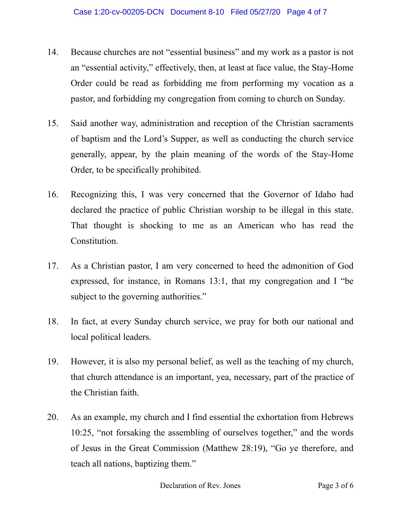- 14. Because churches are not "essential business" and my work as a pastor is not an "essential activity," effectively, then, at least at face value, the Stay-Home Order could be read as forbidding me from performing my vocation as a pastor, and forbidding my congregation from coming to church on Sunday.
- 15. Said another way, administration and reception of the Christian sacraments of baptism and the Lord's Supper, as well as conducting the church service generally, appear, by the plain meaning of the words of the Stay-Home Order, to be specifically prohibited.
- 16. Recognizing this, I was very concerned that the Governor of Idaho had declared the practice of public Christian worship to be illegal in this state. That thought is shocking to me as an American who has read the Constitution.
- 17. As a Christian pastor, I am very concerned to heed the admonition of God expressed, for instance, in Romans 13:1, that my congregation and I "be subject to the governing authorities."
- 18. In fact, at every Sunday church service, we pray for both our national and local political leaders.
- 19. However, it is also my personal belief, as well as the teaching of my church, that church attendance is an important, yea, necessary, part of the practice of the Christian faith.
- 20. As an example, my church and I find essential the exhortation from Hebrews 10:25, "not forsaking the assembling of ourselves together," and the words of Jesus in the Great Commission (Matthew 28:19), "Go ye therefore, and teach all nations, baptizing them."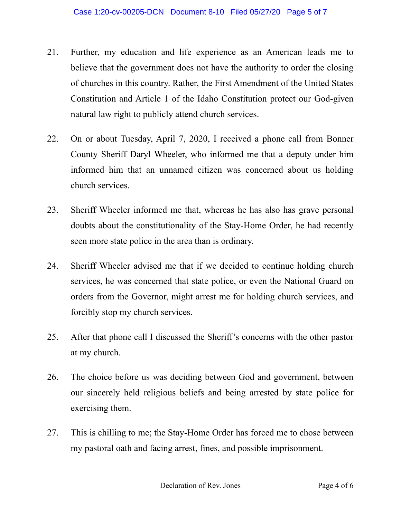- 21. Further, my education and life experience as an American leads me to believe that the government does not have the authority to order the closing of churches in this country. Rather, the First Amendment of the United States Constitution and Article 1 of the Idaho Constitution protect our God-given natural law right to publicly attend church services.
- 22. On or about Tuesday, April 7, 2020, I received a phone call from Bonner County Sheriff Daryl Wheeler, who informed me that a deputy under him informed him that an unnamed citizen was concerned about us holding church services.
- 23. Sheriff Wheeler informed me that, whereas he has also has grave personal doubts about the constitutionality of the Stay-Home Order, he had recently seen more state police in the area than is ordinary.
- 24. Sheriff Wheeler advised me that if we decided to continue holding church services, he was concerned that state police, or even the National Guard on orders from the Governor, might arrest me for holding church services, and forcibly stop my church services.
- 25. After that phone call I discussed the Sheriff's concerns with the other pastor at my church.
- 26. The choice before us was deciding between God and government, between our sincerely held religious beliefs and being arrested by state police for exercising them.
- 27. This is chilling to me; the Stay-Home Order has forced me to chose between my pastoral oath and facing arrest, fines, and possible imprisonment.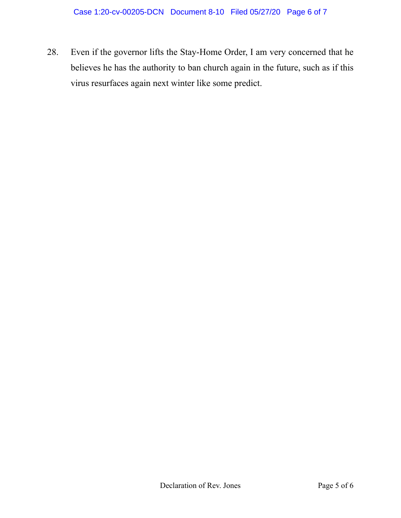28. Even if the governor lifts the Stay-Home Order, I am very concerned that he believes he has the authority to ban church again in the future, such as if this virus resurfaces again next winter like some predict.